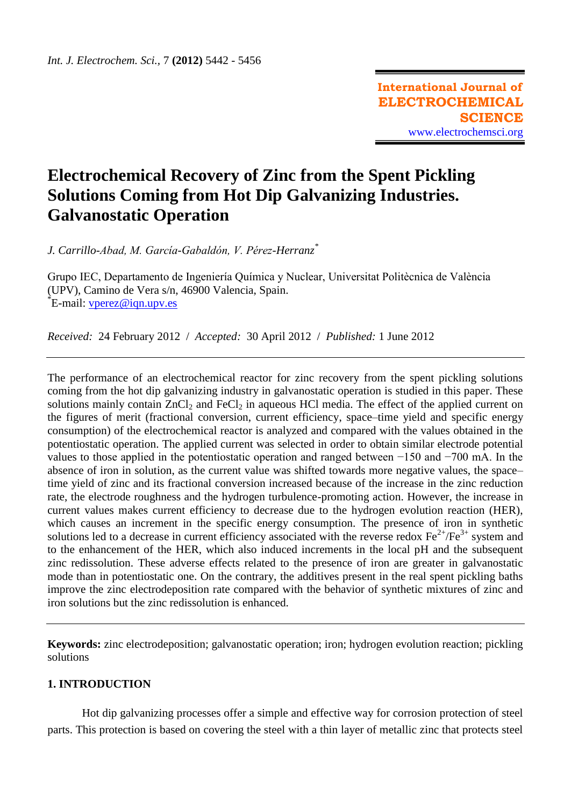# **Electrochemical Recovery of Zinc from the Spent Pickling Solutions Coming from Hot Dip Galvanizing Industries. Galvanostatic Operation**

*J. Carrillo-Abad, M. García-Gabaldón, V. Pérez-Herranz\**

Grupo IEC, Departamento de Ingeniería Química y Nuclear, Universitat Politècnica de València (UPV), Camino de Vera s/n, 46900 Valencia, Spain. \*E-mail: [vperez@iqn.upv.es](mailto:vperez@iqn.upv.es)

*Received:* 24 February 2012 / *Accepted:* 30 April 2012 / *Published:* 1 June 2012

The performance of an electrochemical reactor for zinc recovery from the spent pickling solutions coming from the hot dip galvanizing industry in galvanostatic operation is studied in this paper. These solutions mainly contain  $ZnCl_2$  and  $FeCl_2$  in aqueous HCl media. The effect of the applied current on the figures of merit (fractional conversion, current efficiency, space–time yield and specific energy consumption) of the electrochemical reactor is analyzed and compared with the values obtained in the potentiostatic operation. The applied current was selected in order to obtain similar electrode potential values to those applied in the potentiostatic operation and ranged between −150 and −700 mA. In the absence of iron in solution, as the current value was shifted towards more negative values, the space– time yield of zinc and its fractional conversion increased because of the increase in the zinc reduction rate, the electrode roughness and the hydrogen turbulence-promoting action. However, the increase in current values makes current efficiency to decrease due to the hydrogen evolution reaction (HER), which causes an increment in the specific energy consumption. The presence of iron in synthetic solutions led to a decrease in current efficiency associated with the reverse redox  $\text{Fe}^{2+}/\text{Fe}^{3+}$  system and to the enhancement of the HER, which also induced increments in the local pH and the subsequent zinc redissolution. These adverse effects related to the presence of iron are greater in galvanostatic mode than in potentiostatic one. On the contrary, the additives present in the real spent pickling baths improve the zinc electrodeposition rate compared with the behavior of synthetic mixtures of zinc and iron solutions but the zinc redissolution is enhanced.

**Keywords:** zinc electrodeposition; galvanostatic operation; iron; hydrogen evolution reaction; pickling solutions

# **1. INTRODUCTION**

Hot dip galvanizing processes offer a simple and effective way for corrosion protection of steel parts. This protection is based on covering the steel with a thin layer of metallic zinc that protects steel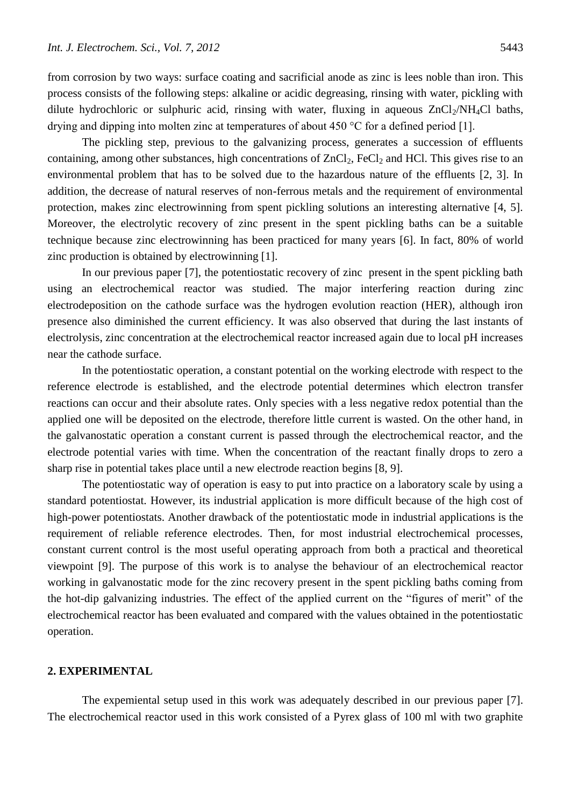from corrosion by two ways: surface coating and sacrificial anode as zinc is lees noble than iron. This process consists of the following steps: alkaline or acidic degreasing, rinsing with water, pickling with dilute hydrochloric or sulphuric acid, rinsing with water, fluxing in aqueous  $ZnCl<sub>2</sub>/NH<sub>4</sub>Cl$  baths, drying and dipping into molten zinc at temperatures of about 450 °C for a defined period [1].

The pickling step, previous to the galvanizing process, generates a succession of effluents containing, among other substances, high concentrations of  $ZnCl_2$ , FeCl<sub>2</sub> and HCl. This gives rise to an environmental problem that has to be solved due to the hazardous nature of the effluents [2, 3]. In addition, the decrease of natural reserves of non-ferrous metals and the requirement of environmental protection, makes zinc electrowinning from spent pickling solutions an interesting alternative [4, 5]. Moreover, the electrolytic recovery of zinc present in the spent pickling baths can be a suitable technique because zinc electrowinning has been practiced for many years [6]. In fact, 80% of world zinc production is obtained by electrowinning [1].

In our previous paper [7], the potentiostatic recovery of zinc present in the spent pickling bath using an electrochemical reactor was studied. The major interfering reaction during zinc electrodeposition on the cathode surface was the hydrogen evolution reaction (HER), although iron presence also diminished the current efficiency. It was also observed that during the last instants of electrolysis, zinc concentration at the electrochemical reactor increased again due to local pH increases near the cathode surface.

In the potentiostatic operation, a constant potential on the working electrode with respect to the reference electrode is established, and the electrode potential determines which electron transfer reactions can occur and their absolute rates. Only species with a less negative redox potential than the applied one will be deposited on the electrode, therefore little current is wasted. On the other hand, in the galvanostatic operation a constant current is passed through the electrochemical reactor, and the electrode potential varies with time. When the concentration of the reactant finally drops to zero a sharp rise in potential takes place until a new electrode reaction begins [8, 9].

The potentiostatic way of operation is easy to put into practice on a laboratory scale by using a standard potentiostat. However, its industrial application is more difficult because of the high cost of high-power potentiostats. Another drawback of the potentiostatic mode in industrial applications is the requirement of reliable reference electrodes. Then, for most industrial electrochemical processes, constant current control is the most useful operating approach from both a practical and theoretical viewpoint [9]. The purpose of this work is to analyse the behaviour of an electrochemical reactor working in galvanostatic mode for the zinc recovery present in the spent pickling baths coming from the hot-dip galvanizing industries. The effect of the applied current on the "figures of merit" of the electrochemical reactor has been evaluated and compared with the values obtained in the potentiostatic operation.

# **2. EXPERIMENTAL**

The expemiental setup used in this work was adequately described in our previous paper [7]. The electrochemical reactor used in this work consisted of a Pyrex glass of 100 ml with two graphite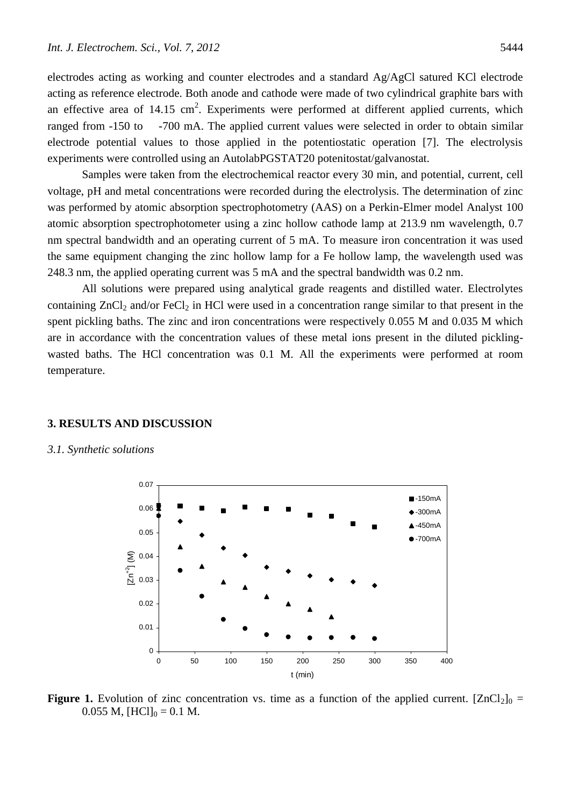electrodes acting as working and counter electrodes and a standard Ag/AgCl satured KCl electrode acting as reference electrode. Both anode and cathode were made of two cylindrical graphite bars with an effective area of  $14.15 \text{ cm}^2$ . Experiments were performed at different applied currents, which ranged from -150 to -700 mA. The applied current values were selected in order to obtain similar electrode potential values to those applied in the potentiostatic operation [7]. The electrolysis experiments were controlled using an AutolabPGSTAT20 potenitostat/galvanostat.

Samples were taken from the electrochemical reactor every 30 min, and potential, current, cell voltage, pH and metal concentrations were recorded during the electrolysis. The determination of zinc was performed by atomic absorption spectrophotometry (AAS) on a Perkin-Elmer model Analyst 100 atomic absorption spectrophotometer using a zinc hollow cathode lamp at 213.9 nm wavelength, 0.7 nm spectral bandwidth and an operating current of 5 mA. To measure iron concentration it was used the same equipment changing the zinc hollow lamp for a Fe hollow lamp, the wavelength used was 248.3 nm, the applied operating current was 5 mA and the spectral bandwidth was 0.2 nm.

All solutions were prepared using analytical grade reagents and distilled water. Electrolytes containing  $ZnCl<sub>2</sub>$  and/or FeCl<sub>2</sub> in HCl were used in a concentration range similar to that present in the spent pickling baths. The zinc and iron concentrations were respectively 0.055 M and 0.035 M which are in accordance with the concentration values of these metal ions present in the diluted picklingwasted baths. The HCl concentration was 0.1 M. All the experiments were performed at room temperature.

# **3. RESULTS AND DISCUSSION**

#### *3.1. Synthetic solutions*



**Figure 1.** Evolution of zinc concentration vs. time as a function of the applied current.  $[ZnCl_2]_0 =$  $0.055$  M,  $[HCl]_0 = 0.1$  M.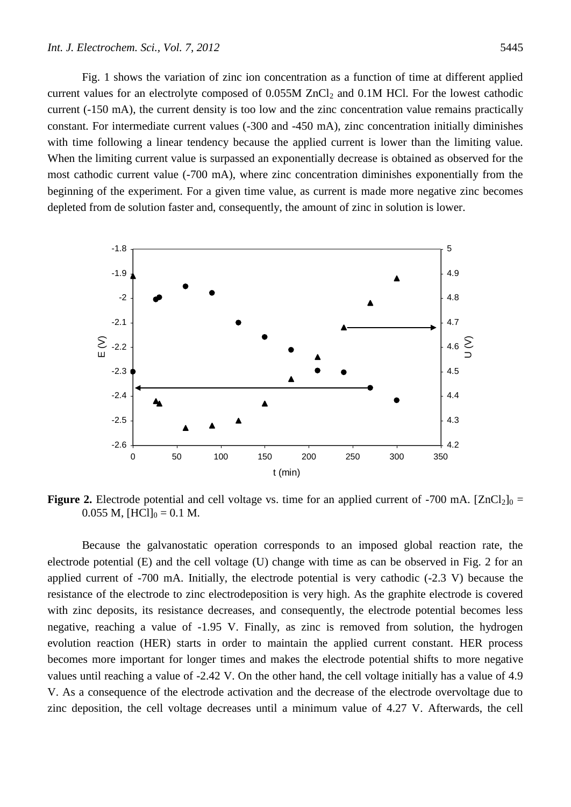Fig. 1 shows the variation of zinc ion concentration as a function of time at different applied current values for an electrolyte composed of  $0.055M$  ZnCl<sub>2</sub> and  $0.1M$  HCl. For the lowest cathodic current (-150 mA), the current density is too low and the zinc concentration value remains practically constant. For intermediate current values (-300 and -450 mA), zinc concentration initially diminishes with time following a linear tendency because the applied current is lower than the limiting value. When the limiting current value is surpassed an exponentially decrease is obtained as observed for the most cathodic current value (-700 mA), where zinc concentration diminishes exponentially from the beginning of the experiment. For a given time value, as current is made more negative zinc becomes depleted from de solution faster and, consequently, the amount of zinc in solution is lower.



**Figure 2.** Electrode potential and cell voltage vs. time for an applied current of -700 mA.  $[ZnCl_2]_0 =$  $0.055$  M,  $[HCl]_0 = 0.1$  M.

Because the galvanostatic operation corresponds to an imposed global reaction rate, the electrode potential (E) and the cell voltage (U) change with time as can be observed in Fig. 2 for an applied current of -700 mA. Initially, the electrode potential is very cathodic (-2.3 V) because the resistance of the electrode to zinc electrodeposition is very high. As the graphite electrode is covered with zinc deposits, its resistance decreases, and consequently, the electrode potential becomes less negative, reaching a value of -1.95 V. Finally, as zinc is removed from solution, the hydrogen evolution reaction (HER) starts in order to maintain the applied current constant. HER process becomes more important for longer times and makes the electrode potential shifts to more negative values until reaching a value of -2.42 V. On the other hand, the cell voltage initially has a value of 4.9 V. As a consequence of the electrode activation and the decrease of the electrode overvoltage due to zinc deposition, the cell voltage decreases until a minimum value of 4.27 V. Afterwards, the cell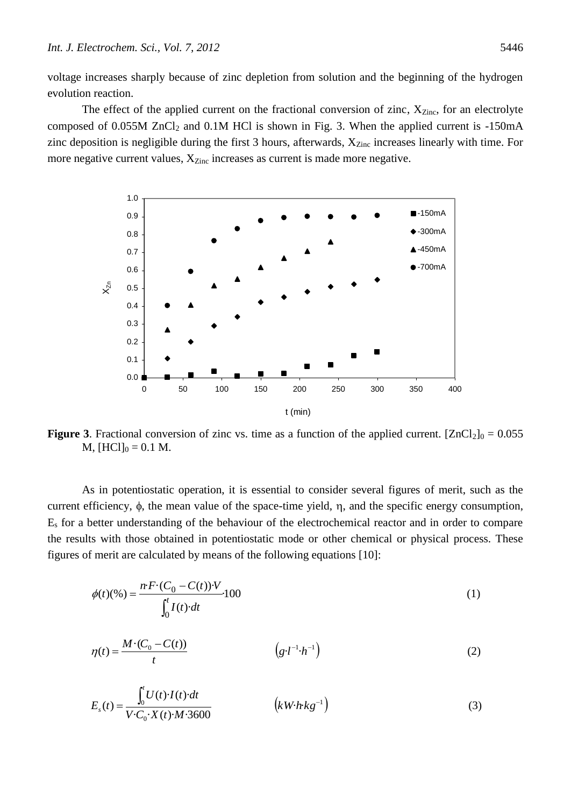voltage increases sharply because of zinc depletion from solution and the beginning of the hydrogen evolution reaction.

The effect of the applied current on the fractional conversion of zinc,  $X_{Zinc}$ , for an electrolyte composed of  $0.055M$  ZnCl<sub>2</sub> and  $0.1M$  HCl is shown in Fig. 3. When the applied current is -150mA zinc deposition is negligible during the first 3 hours, afterwards,  $X_{\text{Zinc}}$  increases linearly with time. For more negative current values,  $X_{\text{Zinc}}$  increases as current is made more negative.



**Figure 3**. Fractional conversion of zinc vs. time as a function of the applied current.  $[ZnCl_2]_0 = 0.055$  $M$ ,  $[HCl]_0 = 0.1 M$ .

As in potentiostatic operation, it is essential to consider several figures of merit, such as the current efficiency,  $\phi$ , the mean value of the space-time yield,  $\eta$ , and the specific energy consumption, E<sup>s</sup> for a better understanding of the behaviour of the electrochemical reactor and in order to compare the results with those obtained in potentiostatic mode or other chemical or physical process. These figures of merit are calculated by means of the following equations [10]:

$$
\phi(t)(\%) = \frac{n \cdot F \cdot (C_0 - C(t)) \cdot V}{\int_0^t I(t) \cdot dt} \cdot 100
$$
\n(1)

$$
\eta(t) = \frac{M \cdot (C_0 - C(t))}{t} \qquad (g \cdot l^{-1} \cdot h^{-1})
$$
 (2)

$$
E_s(t) = \frac{\int_0^t U(t) \cdot I(t) \cdot dt}{V \cdot C_0 \cdot X(t) \cdot M \cdot 3600} \qquad (kW \cdot h \cdot kg^{-1})
$$
 (3)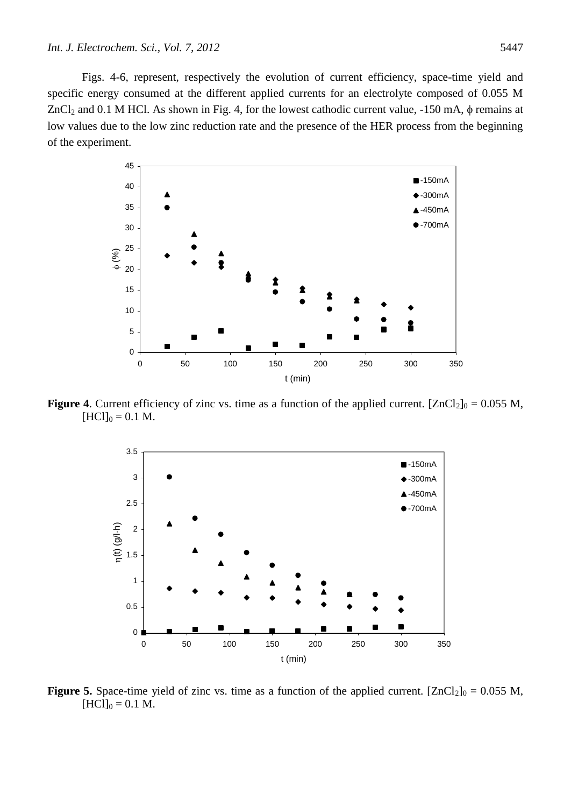Figs. 4-6, represent, respectively the evolution of current efficiency, space-time yield and specific energy consumed at the different applied currents for an electrolyte composed of 0.055 M  $ZnCl<sub>2</sub>$  and 0.1 M HCl. As shown in Fig. 4, for the lowest cathodic current value, -150 mA,  $\phi$  remains at low values due to the low zinc reduction rate and the presence of the HER process from the beginning of the experiment.



**Figure 4**. Current efficiency of zinc vs. time as a function of the applied current.  $[ZnCl_2]_0 = 0.055$  M,  $[HCI]_0 = 0.1 M$ .



**Figure 5.** Space-time yield of zinc vs. time as a function of the applied current.  $[ZnCl_2]_0 = 0.055$  M,  $[HCI]_0 = 0.1 M$ .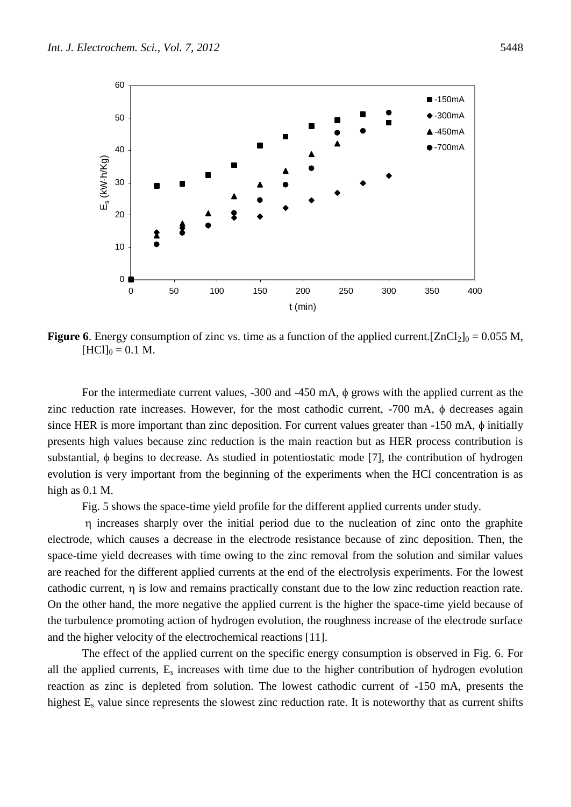

**Figure 6**. Energy consumption of zinc vs. time as a function of the applied current.  $[ZnCl_2]_0 = 0.055$  M,  $[HCI]_0 = 0.1 M$ .

For the intermediate current values,  $-300$  and  $-450$  mA,  $\phi$  grows with the applied current as the zinc reduction rate increases. However, for the most cathodic current,  $-700$  mA,  $\phi$  decreases again since HER is more important than zinc deposition. For current values greater than  $-150$  mA,  $\phi$  initially presents high values because zinc reduction is the main reaction but as HER process contribution is substantial,  $\phi$  begins to decrease. As studied in potentiostatic mode [7], the contribution of hydrogen evolution is very important from the beginning of the experiments when the HCl concentration is as high as 0.1 M.

Fig. 5 shows the space-time yield profile for the different applied currents under study.

 increases sharply over the initial period due to the nucleation of zinc onto the graphite electrode, which causes a decrease in the electrode resistance because of zinc deposition. Then, the space-time yield decreases with time owing to the zinc removal from the solution and similar values are reached for the different applied currents at the end of the electrolysis experiments. For the lowest cathodic current,  $\eta$  is low and remains practically constant due to the low zinc reduction reaction rate. On the other hand, the more negative the applied current is the higher the space-time yield because of the turbulence promoting action of hydrogen evolution, the roughness increase of the electrode surface and the higher velocity of the electrochemical reactions [11].

The effect of the applied current on the specific energy consumption is observed in Fig. 6. For all the applied currents,  $E_s$  increases with time due to the higher contribution of hydrogen evolution reaction as zinc is depleted from solution. The lowest cathodic current of -150 mA, presents the highest E<sub>s</sub> value since represents the slowest zinc reduction rate. It is noteworthy that as current shifts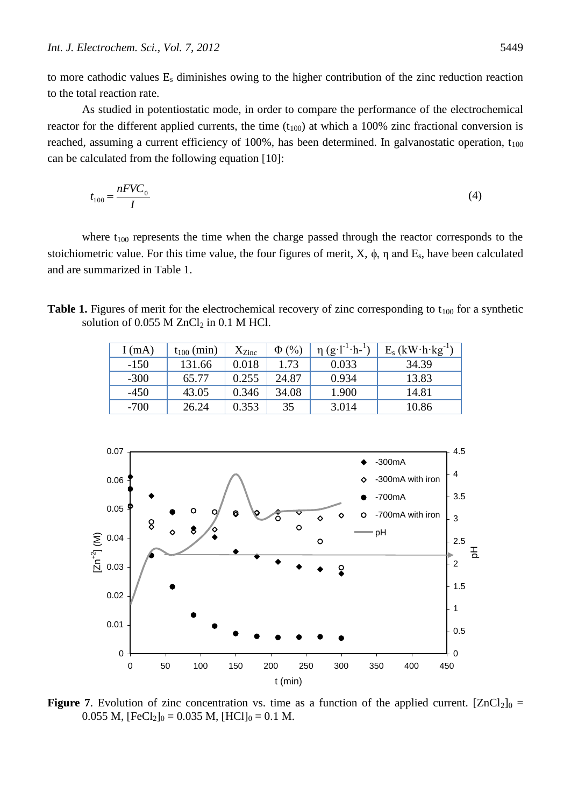to more cathodic values E<sup>s</sup> diminishes owing to the higher contribution of the zinc reduction reaction to the total reaction rate.

As studied in potentiostatic mode, in order to compare the performance of the electrochemical reactor for the different applied currents, the time  $(t_{100})$  at which a 100% zinc fractional conversion is reached, assuming a current efficiency of 100%, has been determined. In galvanostatic operation,  $t_{100}$ can be calculated from the following equation [10]:

$$
t_{100} = \frac{nFVC_0}{I}
$$

where  $t_{100}$  represents the time when the charge passed through the reactor corresponds to the stoichiometric value. For this time value, the four figures of merit,  $X$ ,  $\phi$ ,  $\eta$  and  $E_s$ , have been calculated and are summarized in Table 1.

**Table 1.** Figures of merit for the electrochemical recovery of zinc corresponding to  $t_{100}$  for a synthetic solution of  $0.055$  M ZnCl<sub>2</sub> in  $0.1$  M HCl.

|      | I(mA)  | $t_{100}$ (min) | $X_{\rm Zinc}$ | $\Phi(\%)$ | $\eta(g \cdot l^{-1} \cdot h^{-1})$ | $E_s$ (kW $\cdot$ h $\cdot$ kg <sup>-1</sup> ) |
|------|--------|-----------------|----------------|------------|-------------------------------------|------------------------------------------------|
|      | $-150$ | 131.66          | 0.018          | 1.73       | 0.033                               | 34.39                                          |
|      | $-300$ | 65.77           | 0.255          | 24.87      | 0.934                               | 13.83                                          |
|      | $-450$ | 43.05           | 0.346          | 34.08      | 1.900                               | 14.81                                          |
|      | $-700$ | 26.24           | 0.353          | 35         | 3.014                               | 10.86                                          |
| 0.07 |        |                 |                |            |                                     | 4.5                                            |
|      |        |                 |                |            |                                     | $-300mA$<br>4                                  |
|      |        |                 |                |            |                                     |                                                |



**Figure** 7. Evolution of zinc concentration vs. time as a function of the applied current.  $[ZnCl_2]_0 =$ 0.055 M,  $[FeCl<sub>2</sub>]_{0} = 0.035$  M,  $[HCl]_{0} = 0.1$  M.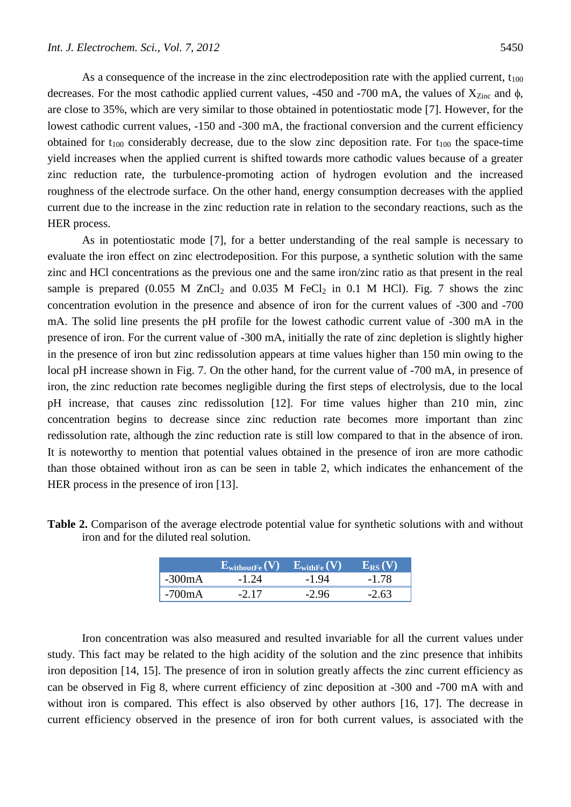As a consequence of the increase in the zinc electrodeposition rate with the applied current,  $t_{100}$ decreases. For the most cathodic applied current values, -450 and -700 mA, the values of  $X_{\text{Zinc}}$  and  $\phi$ , are close to 35%, which are very similar to those obtained in potentiostatic mode [7]. However, for the lowest cathodic current values,  $-150$  and  $-300$  mA, the fractional conversion and the current efficiency obtained for  $t_{100}$  considerably decrease, due to the slow zinc deposition rate. For  $t_{100}$  the space-time yield increases when the applied current is shifted towards more cathodic values because of a greater zinc reduction rate, the turbulence-promoting action of hydrogen evolution and the increased roughness of the electrode surface. On the other hand, energy consumption decreases with the applied current due to the increase in the zinc reduction rate in relation to the secondary reactions, such as the HER process.

As in potentiostatic mode [7], for a better understanding of the real sample is necessary to evaluate the iron effect on zinc electrodeposition. For this purpose, a synthetic solution with the same zinc and HCl concentrations as the previous one and the same iron/zinc ratio as that present in the real sample is prepared (0.055 M ZnCl<sub>2</sub> and 0.035 M FeCl<sub>2</sub> in 0.1 M HCl). Fig. 7 shows the zinc concentration evolution in the presence and absence of iron for the current values of -300 and -700 mA. The solid line presents the pH profile for the lowest cathodic current value of -300 mA in the presence of iron. For the current value of -300 mA, initially the rate of zinc depletion is slightly higher in the presence of iron but zinc redissolution appears at time values higher than 150 min owing to the local pH increase shown in Fig. 7. On the other hand, for the current value of -700 mA, in presence of iron, the zinc reduction rate becomes negligible during the first steps of electrolysis, due to the local pH increase, that causes zinc redissolution [12]. For time values higher than 210 min, zinc concentration begins to decrease since zinc reduction rate becomes more important than zinc redissolution rate, although the zinc reduction rate is still low compared to that in the absence of iron. It is noteworthy to mention that potential values obtained in the presence of iron are more cathodic than those obtained without iron as can be seen in table 2, which indicates the enhancement of the HER process in the presence of iron [13].

|          | $\mathbf{E}_{\text{withoutFe}}(\mathbf{V}) - \mathbf{E}_{\text{withFe}}(\mathbf{V})$ |         | $E_{RS}(V)$ |
|----------|--------------------------------------------------------------------------------------|---------|-------------|
| $-300mA$ | $-1.24$                                                                              | $-1.94$ | $-1.78$     |
| $-700mA$ | $-2.17$                                                                              | $-2.96$ | $-2.63$     |

**Table 2.** Comparison of the average electrode potential value for synthetic solutions with and without iron and for the diluted real solution.

Iron concentration was also measured and resulted invariable for all the current values under study. This fact may be related to the high acidity of the solution and the zinc presence that inhibits iron deposition [14, 15]. The presence of iron in solution greatly affects the zinc current efficiency as can be observed in Fig 8, where current efficiency of zinc deposition at -300 and -700 mA with and without iron is compared. This effect is also observed by other authors [16, 17]. The decrease in current efficiency observed in the presence of iron for both current values, is associated with the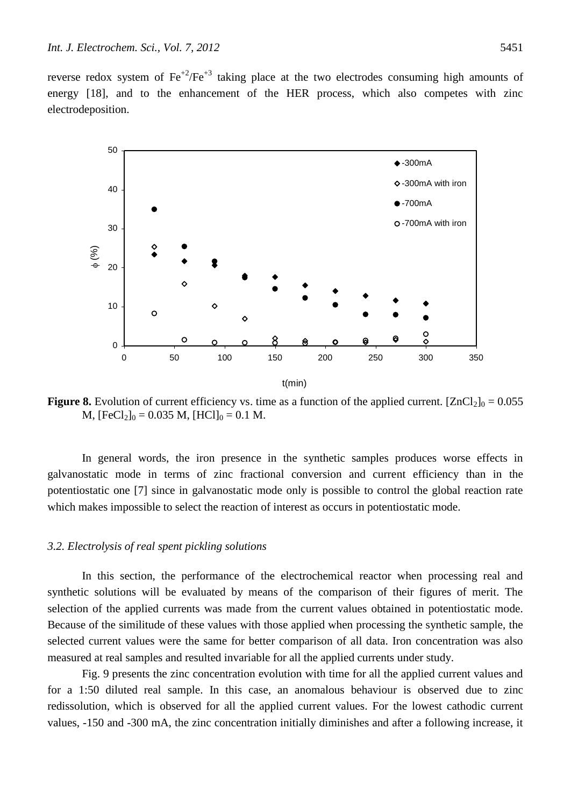reverse redox system of  $\text{Fe}^{+2}/\text{Fe}^{+3}$  taking place at the two electrodes consuming high amounts of energy [18], and to the enhancement of the HER process, which also competes with zinc electrodeposition.



**Figure 8.** Evolution of current efficiency vs. time as a function of the applied current.  $[ZnCl_2]_0 = 0.055$ M,  $[FeCl<sub>2</sub>]_{0} = 0.035$  M,  $[HC1]_{0} = 0.1$  M.

In general words, the iron presence in the synthetic samples produces worse effects in galvanostatic mode in terms of zinc fractional conversion and current efficiency than in the potentiostatic one [7] since in galvanostatic mode only is possible to control the global reaction rate which makes impossible to select the reaction of interest as occurs in potentiostatic mode.

# *3.2. Electrolysis of real spent pickling solutions*

In this section, the performance of the electrochemical reactor when processing real and synthetic solutions will be evaluated by means of the comparison of their figures of merit. The selection of the applied currents was made from the current values obtained in potentiostatic mode. Because of the similitude of these values with those applied when processing the synthetic sample, the selected current values were the same for better comparison of all data. Iron concentration was also measured at real samples and resulted invariable for all the applied currents under study.

Fig. 9 presents the zinc concentration evolution with time for all the applied current values and for a 1:50 diluted real sample. In this case, an anomalous behaviour is observed due to zinc redissolution, which is observed for all the applied current values. For the lowest cathodic current values, -150 and -300 mA, the zinc concentration initially diminishes and after a following increase, it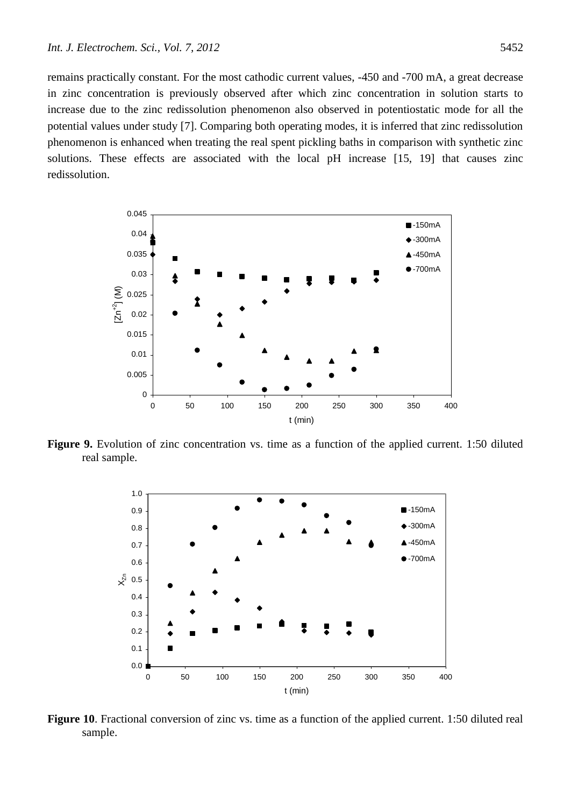remains practically constant. For the most cathodic current values, -450 and -700 mA, a great decrease in zinc concentration is previously observed after which zinc concentration in solution starts to increase due to the zinc redissolution phenomenon also observed in potentiostatic mode for all the potential values under study [7]. Comparing both operating modes, it is inferred that zinc redissolution phenomenon is enhanced when treating the real spent pickling baths in comparison with synthetic zinc solutions. These effects are associated with the local pH increase [15, 19] that causes zinc redissolution.



**Figure 9.** Evolution of zinc concentration vs. time as a function of the applied current. 1:50 diluted real sample.



**Figure 10**. Fractional conversion of zinc vs. time as a function of the applied current. 1:50 diluted real sample.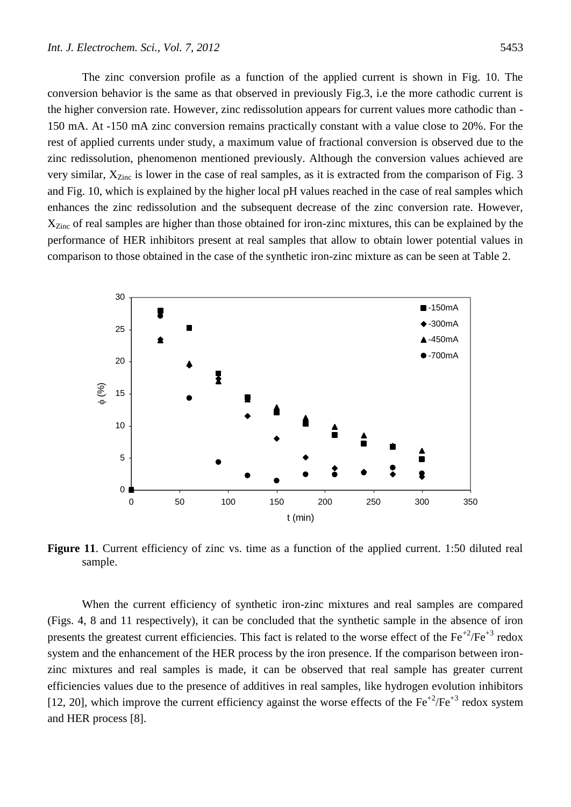The zinc conversion profile as a function of the applied current is shown in Fig. 10. The conversion behavior is the same as that observed in previously Fig.3, i.e the more cathodic current is the higher conversion rate. However, zinc redissolution appears for current values more cathodic than - 150 mA. At -150 mA zinc conversion remains practically constant with a value close to 20%. For the rest of applied currents under study, a maximum value of fractional conversion is observed due to the zinc redissolution, phenomenon mentioned previously. Although the conversion values achieved are very similar,  $X_{\text{Zinc}}$  is lower in the case of real samples, as it is extracted from the comparison of Fig. 3 and Fig. 10, which is explained by the higher local pH values reached in the case of real samples which enhances the zinc redissolution and the subsequent decrease of the zinc conversion rate. However, X<sub>Zinc</sub> of real samples are higher than those obtained for iron-zinc mixtures, this can be explained by the performance of HER inhibitors present at real samples that allow to obtain lower potential values in comparison to those obtained in the case of the synthetic iron-zinc mixture as can be seen at Table 2.



**Figure 11**. Current efficiency of zinc vs. time as a function of the applied current. 1:50 diluted real sample.

When the current efficiency of synthetic iron-zinc mixtures and real samples are compared (Figs. 4, 8 and 11 respectively), it can be concluded that the synthetic sample in the absence of iron presents the greatest current efficiencies. This fact is related to the worse effect of the  $Fe^{+2}/Fe^{+3}$  redox system and the enhancement of the HER process by the iron presence. If the comparison between ironzinc mixtures and real samples is made, it can be observed that real sample has greater current efficiencies values due to the presence of additives in real samples, like hydrogen evolution inhibitors [12, 20], which improve the current efficiency against the worse effects of the  $Fe^{+2}/Fe^{+3}$  redox system and HER process [8].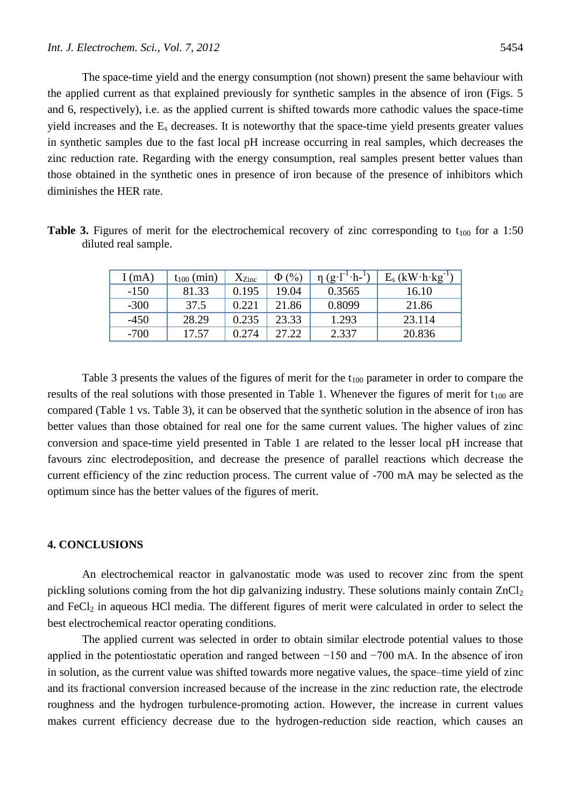The space-time yield and the energy consumption (not shown) present the same behaviour with the applied current as that explained previously for synthetic samples in the absence of iron (Figs. 5 and 6, respectively), i.e. as the applied current is shifted towards more cathodic values the space-time yield increases and the  $E_s$  decreases. It is noteworthy that the space-time yield presents greater values in synthetic samples due to the fast local pH increase occurring in real samples, which decreases the zinc reduction rate. Regarding with the energy consumption, real samples present better values than those obtained in the synthetic ones in presence of iron because of the presence of inhibitors which diminishes the HER rate.

| diluted real sample. |  |  |  |
|----------------------|--|--|--|
|                      |  |  |  |

**Table 3.** Figures of merit for the electrochemical recovery of zinc corresponding to  $t_{100}$  for a 1:50

| I (mA) | $t_{100}$ (min) | $X_{\rm Zinc}$ | $\Phi(\%)$ | $(g \cdot l^{-1} \cdot h^{-1})$ | $E_s$ (kW $\cdot$ h $\cdot$ kg <sup>-1</sup> ) |
|--------|-----------------|----------------|------------|---------------------------------|------------------------------------------------|
| $-150$ | 81.33           | 0.195          | 19.04      | 0.3565                          | 16.10                                          |
| $-300$ | 37.5            | 0.221          | 21.86      | 0.8099                          | 21.86                                          |
| $-450$ | 28.29           | 0.235          | 23.33      | 1.293                           | 23.114                                         |
| $-700$ | 17.57           | 0.274          | 27.22      | 2.337                           | 20.836                                         |

Table 3 presents the values of the figures of merit for the  $t_{100}$  parameter in order to compare the results of the real solutions with those presented in Table 1. Whenever the figures of merit for  $t_{100}$  are compared (Table 1 vs. Table 3), it can be observed that the synthetic solution in the absence of iron has better values than those obtained for real one for the same current values. The higher values of zinc conversion and space-time yield presented in Table 1 are related to the lesser local pH increase that favours zinc electrodeposition, and decrease the presence of parallel reactions which decrease the current efficiency of the zinc reduction process. The current value of -700 mA may be selected as the optimum since has the better values of the figures of merit.

# **4. CONCLUSIONS**

An electrochemical reactor in galvanostatic mode was used to recover zinc from the spent pickling solutions coming from the hot dip galvanizing industry. These solutions mainly contain  $ZnCl<sub>2</sub>$ and FeCl<sub>2</sub> in aqueous HCl media. The different figures of merit were calculated in order to select the best electrochemical reactor operating conditions.

The applied current was selected in order to obtain similar electrode potential values to those applied in the potentiostatic operation and ranged between −150 and −700 mA. In the absence of iron in solution, as the current value was shifted towards more negative values, the space–time yield of zinc and its fractional conversion increased because of the increase in the zinc reduction rate, the electrode roughness and the hydrogen turbulence-promoting action. However, the increase in current values makes current efficiency decrease due to the hydrogen-reduction side reaction, which causes an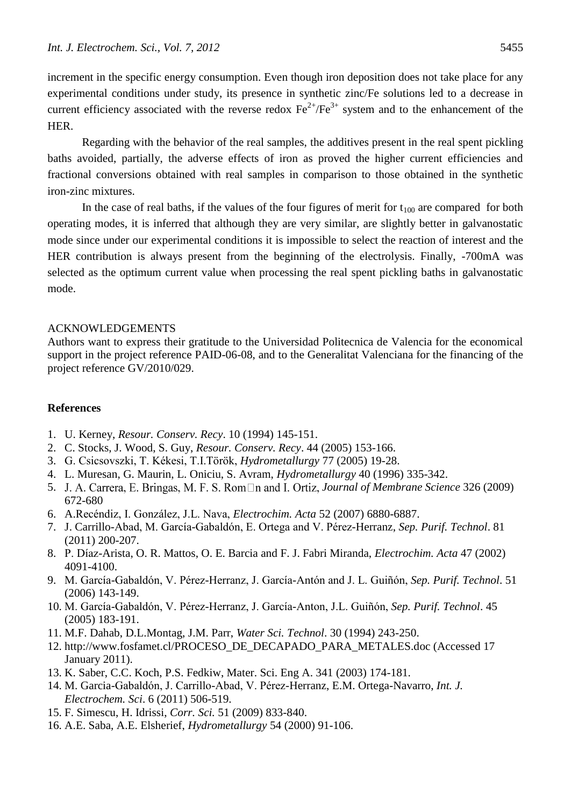increment in the specific energy consumption. Even though iron deposition does not take place for any experimental conditions under study, its presence in synthetic zinc/Fe solutions led to a decrease in current efficiency associated with the reverse redox  $Fe^{2+}/Fe^{3+}$  system and to the enhancement of the HER.

Regarding with the behavior of the real samples, the additives present in the real spent pickling baths avoided, partially, the adverse effects of iron as proved the higher current efficiencies and fractional conversions obtained with real samples in comparison to those obtained in the synthetic iron-zinc mixtures.

In the case of real baths, if the values of the four figures of merit for  $t_{100}$  are compared for both operating modes, it is inferred that although they are very similar, are slightly better in galvanostatic mode since under our experimental conditions it is impossible to select the reaction of interest and the HER contribution is always present from the beginning of the electrolysis. Finally, -700mA was selected as the optimum current value when processing the real spent pickling baths in galvanostatic mode.

# ACKNOWLEDGEMENTS

Authors want to express their gratitude to the Universidad Politecnica de Valencia for the economical support in the project reference PAID-06-08, and to the Generalitat Valenciana for the financing of the project reference GV/2010/029.

# **References**

- 1. U. Kerney, *Resour. Conserv. Recy*. 10 (1994) 145-151.
- 2. C. Stocks, J. Wood, S. Guy, *Resour. Conserv. Recy*. 44 (2005) 153-166.
- 3. G. Csicsovszki, T. Kékesi, T.I.Török, *Hydrometallurgy* 77 (2005) 19-28.
- 4. L. Muresan, G. Maurin, L. Oniciu, S. Avram, *Hydrometallurgy* 40 (1996) 335-342.
- 5. *Journal of Membrane Science* 326 (2009) 672-680
- 6. A.Recéndiz, I. González, J.L. Nava, *Electrochim. Acta* 52 (2007) 6880-6887.
- 7. J. Carrillo-Abad, M. García-Gabaldón, E. Ortega and V. Pérez-Herranz, *Sep. Purif. Technol*. 81 (2011) 200-207.
- 8. P. Díaz-Arista, O. R. Mattos, O. E. Barcia and F. J. Fabri Miranda, *Electrochim. Acta* 47 (2002) 4091-4100.
- 9. M. García-Gabaldón, V. Pérez-Herranz, J. García-Antón and J. L. Guiñón, *Sep. Purif. Technol*. 51 (2006) 143-149.
- 10. M. García-Gabaldón, V. Pérez-Herranz, J. García-Anton, J.L. Guiñón, *Sep. Purif. Technol*. 45 (2005) 183-191.
- 11. M.F. Dahab, D.L.Montag, J.M. Parr, *Water Sci. Technol*. 30 (1994) 243-250.
- 12. http://www.fosfamet.cl/PROCESO\_DE\_DECAPADO\_PARA\_METALES.doc (Accessed 17 January 2011).
- 13. K. Saber, C.C. Koch, P.S. Fedkiw, Mater. Sci. Eng A. 341 (2003) 174-181.
- 14. M. Garcia-Gabaldón, J. Carrillo-Abad, V. Pérez-Herranz, E.M. Ortega-Navarro, *Int. J. Electrochem. Sci*. 6 (2011) 506-519.
- 15. F. Simescu, H. Idrissi, *Corr. Sci.* 51 (2009) 833-840.
- 16. A.E. Saba, A.E. Elsherief, *Hydrometallurgy* 54 (2000) 91-106.